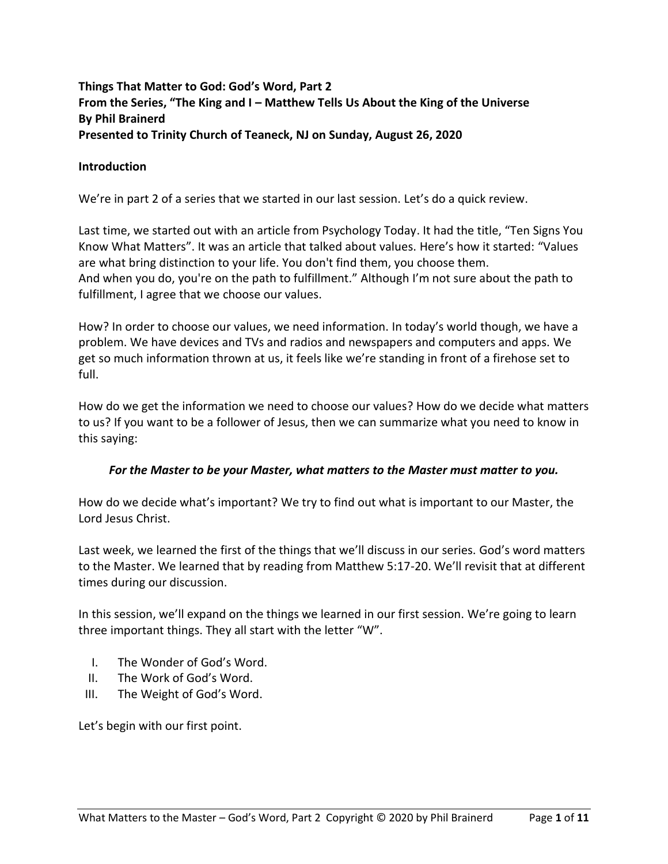# **Things That Matter to God: God's Word, Part 2 From the Series, "The King and I – Matthew Tells Us About the King of the Universe By Phil Brainerd Presented to Trinity Church of Teaneck, NJ on Sunday, August 26, 2020**

### **Introduction**

We're in part 2 of a series that we started in our last session. Let's do a quick review.

Last time, we started out with an article from Psychology Today. It had the title, "Ten Signs You Know What Matters". It was an article that talked about values. Here's how it started: "Values are what bring distinction to your life. You don't find them, you choose them. And when you do, you're on the path to fulfillment." Although I'm not sure about the path to fulfillment, I agree that we choose our values.

How? In order to choose our values, we need information. In today's world though, we have a problem. We have devices and TVs and radios and newspapers and computers and apps. We get so much information thrown at us, it feels like we're standing in front of a firehose set to full.

How do we get the information we need to choose our values? How do we decide what matters to us? If you want to be a follower of Jesus, then we can summarize what you need to know in this saying:

### *For the Master to be your Master, what matters to the Master must matter to you.*

How do we decide what's important? We try to find out what is important to our Master, the Lord Jesus Christ.

Last week, we learned the first of the things that we'll discuss in our series. God's word matters to the Master. We learned that by reading from Matthew 5:17-20. We'll revisit that at different times during our discussion.

In this session, we'll expand on the things we learned in our first session. We're going to learn three important things. They all start with the letter "W".

- I. The Wonder of God's Word.
- II. The Work of God's Word.
- III. The Weight of God's Word.

Let's begin with our first point.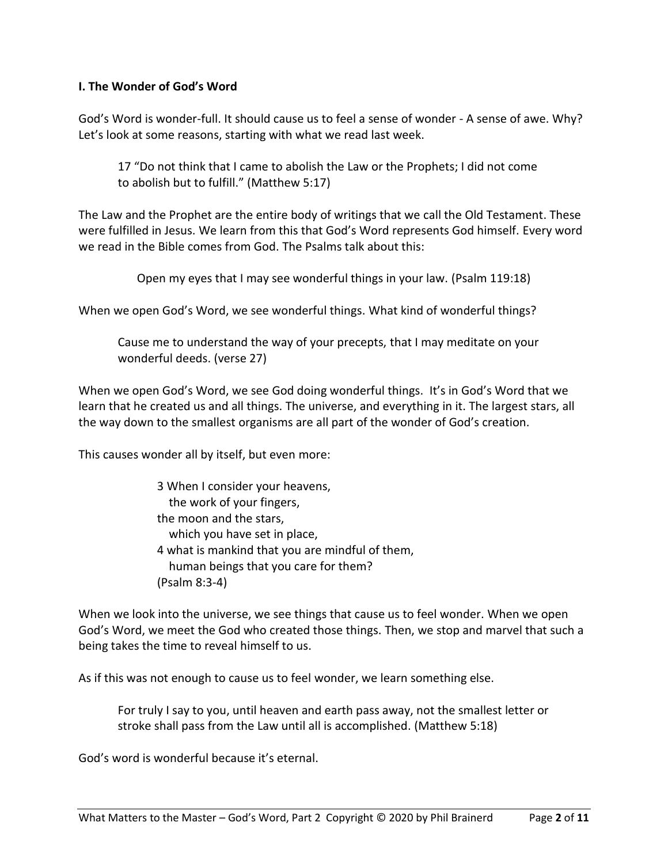### **I. The Wonder of God's Word**

God's Word is wonder-full. It should cause us to feel a sense of wonder - A sense of awe. Why? Let's look at some reasons, starting with what we read last week.

17 "Do not think that I came to abolish the Law or the Prophets; I did not come to abolish but to fulfill." (Matthew 5:17)

The Law and the Prophet are the entire body of writings that we call the Old Testament. These were fulfilled in Jesus. We learn from this that God's Word represents God himself. Every word we read in the Bible comes from God. The Psalms talk about this:

Open my eyes that I may see wonderful things in your law. (Psalm 119:18)

When we open God's Word, we see wonderful things. What kind of wonderful things?

Cause me to understand the way of your precepts, that I may meditate on your wonderful deeds. (verse 27)

When we open God's Word, we see God doing wonderful things. It's in God's Word that we learn that he created us and all things. The universe, and everything in it. The largest stars, all the way down to the smallest organisms are all part of the wonder of God's creation.

This causes wonder all by itself, but even more:

3 When I consider your heavens, the work of your fingers, the moon and the stars, which you have set in place, 4 what is mankind that you are mindful of them, human beings that you care for them? (Psalm 8:3-4)

When we look into the universe, we see things that cause us to feel wonder. When we open God's Word, we meet the God who created those things. Then, we stop and marvel that such a being takes the time to reveal himself to us.

As if this was not enough to cause us to feel wonder, we learn something else.

For truly I say to you, until heaven and earth pass away, not the smallest letter or stroke shall pass from the Law until all is accomplished. (Matthew 5:18)

God's word is wonderful because it's eternal.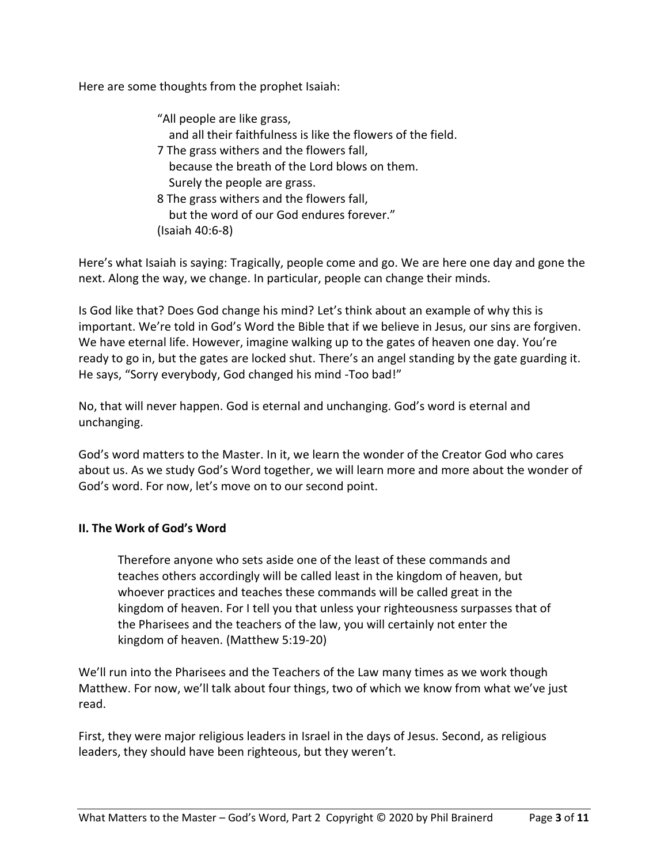Here are some thoughts from the prophet Isaiah:

| "All people are like grass,                                  |
|--------------------------------------------------------------|
| and all their faithfulness is like the flowers of the field. |
| 7 The grass withers and the flowers fall,                    |
| because the breath of the Lord blows on them.                |
| Surely the people are grass.                                 |
| 8 The grass withers and the flowers fall,                    |
| but the word of our God endures forever."                    |

(Isaiah 40:6-8)

Here's what Isaiah is saying: Tragically, people come and go. We are here one day and gone the next. Along the way, we change. In particular, people can change their minds.

Is God like that? Does God change his mind? Let's think about an example of why this is important. We're told in God's Word the Bible that if we believe in Jesus, our sins are forgiven. We have eternal life. However, imagine walking up to the gates of heaven one day. You're ready to go in, but the gates are locked shut. There's an angel standing by the gate guarding it. He says, "Sorry everybody, God changed his mind -Too bad!"

No, that will never happen. God is eternal and unchanging. God's word is eternal and unchanging.

God's word matters to the Master. In it, we learn the wonder of the Creator God who cares about us. As we study God's Word together, we will learn more and more about the wonder of God's word. For now, let's move on to our second point.

## **II. The Work of God's Word**

Therefore anyone who sets aside one of the least of these commands and teaches others accordingly will be called least in the kingdom of heaven, but whoever practices and teaches these commands will be called great in the kingdom of heaven. For I tell you that unless your righteousness surpasses that of the Pharisees and the teachers of the law, you will certainly not enter the kingdom of heaven. (Matthew 5:19-20)

We'll run into the Pharisees and the Teachers of the Law many times as we work though Matthew. For now, we'll talk about four things, two of which we know from what we've just read.

First, they were major religious leaders in Israel in the days of Jesus. Second, as religious leaders, they should have been righteous, but they weren't.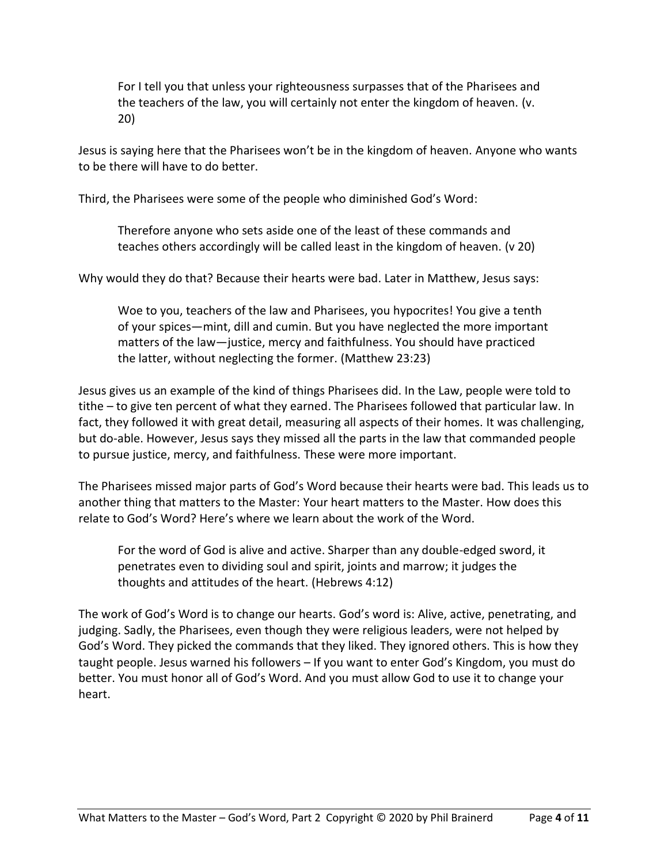For I tell you that unless your righteousness surpasses that of the Pharisees and the teachers of the law, you will certainly not enter the kingdom of heaven. (v. 20)

Jesus is saying here that the Pharisees won't be in the kingdom of heaven. Anyone who wants to be there will have to do better.

Third, the Pharisees were some of the people who diminished God's Word:

Therefore anyone who sets aside one of the least of these commands and teaches others accordingly will be called least in the kingdom of heaven. (v 20)

Why would they do that? Because their hearts were bad. Later in Matthew, Jesus says:

Woe to you, teachers of the law and Pharisees, you hypocrites! You give a tenth of your spices—mint, dill and cumin. But you have neglected the more important matters of the law—justice, mercy and faithfulness. You should have practiced the latter, without neglecting the former. (Matthew 23:23)

Jesus gives us an example of the kind of things Pharisees did. In the Law, people were told to tithe – to give ten percent of what they earned. The Pharisees followed that particular law. In fact, they followed it with great detail, measuring all aspects of their homes. It was challenging, but do-able. However, Jesus says they missed all the parts in the law that commanded people to pursue justice, mercy, and faithfulness. These were more important.

The Pharisees missed major parts of God's Word because their hearts were bad. This leads us to another thing that matters to the Master: Your heart matters to the Master. How does this relate to God's Word? Here's where we learn about the work of the Word.

For the word of God is alive and active. Sharper than any double-edged sword, it penetrates even to dividing soul and spirit, joints and marrow; it judges the thoughts and attitudes of the heart. (Hebrews 4:12)

The work of God's Word is to change our hearts. God's word is: Alive, active, penetrating, and judging. Sadly, the Pharisees, even though they were religious leaders, were not helped by God's Word. They picked the commands that they liked. They ignored others. This is how they taught people. Jesus warned his followers – If you want to enter God's Kingdom, you must do better. You must honor all of God's Word. And you must allow God to use it to change your heart.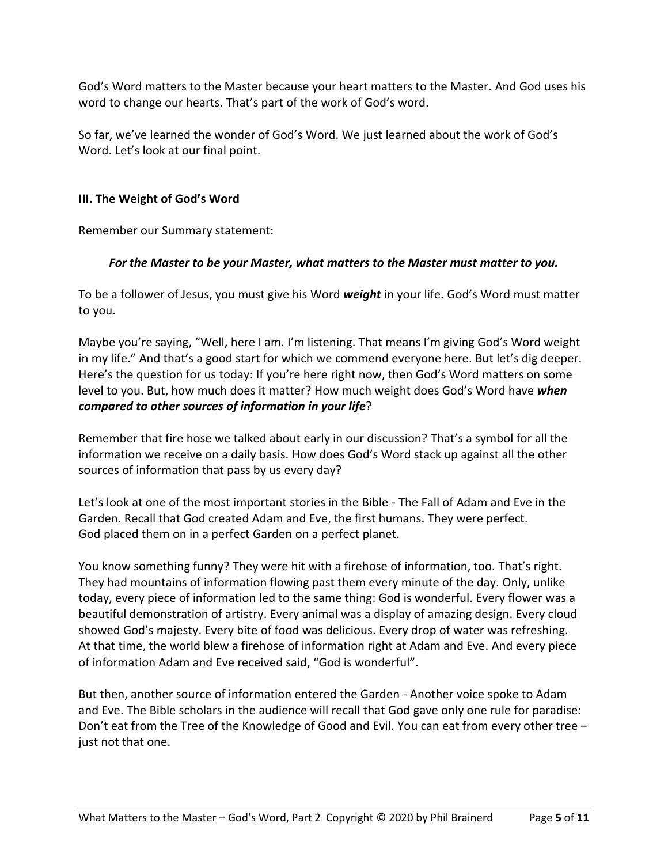God's Word matters to the Master because your heart matters to the Master. And God uses his word to change our hearts. That's part of the work of God's word.

So far, we've learned the wonder of God's Word. We just learned about the work of God's Word. Let's look at our final point.

## **III. The Weight of God's Word**

Remember our Summary statement:

# *For the Master to be your Master, what matters to the Master must matter to you.*

To be a follower of Jesus, you must give his Word *weight* in your life. God's Word must matter to you.

Maybe you're saying, "Well, here I am. I'm listening. That means I'm giving God's Word weight in my life." And that's a good start for which we commend everyone here. But let's dig deeper. Here's the question for us today: If you're here right now, then God's Word matters on some level to you. But, how much does it matter? How much weight does God's Word have *when compared to other sources of information in your life*?

Remember that fire hose we talked about early in our discussion? That's a symbol for all the information we receive on a daily basis. How does God's Word stack up against all the other sources of information that pass by us every day?

Let's look at one of the most important stories in the Bible - The Fall of Adam and Eve in the Garden. Recall that God created Adam and Eve, the first humans. They were perfect. God placed them on in a perfect Garden on a perfect planet.

You know something funny? They were hit with a firehose of information, too. That's right. They had mountains of information flowing past them every minute of the day. Only, unlike today, every piece of information led to the same thing: God is wonderful. Every flower was a beautiful demonstration of artistry. Every animal was a display of amazing design. Every cloud showed God's majesty. Every bite of food was delicious. Every drop of water was refreshing. At that time, the world blew a firehose of information right at Adam and Eve. And every piece of information Adam and Eve received said, "God is wonderful".

But then, another source of information entered the Garden - Another voice spoke to Adam and Eve. The Bible scholars in the audience will recall that God gave only one rule for paradise: Don't eat from the Tree of the Knowledge of Good and Evil. You can eat from every other tree – just not that one.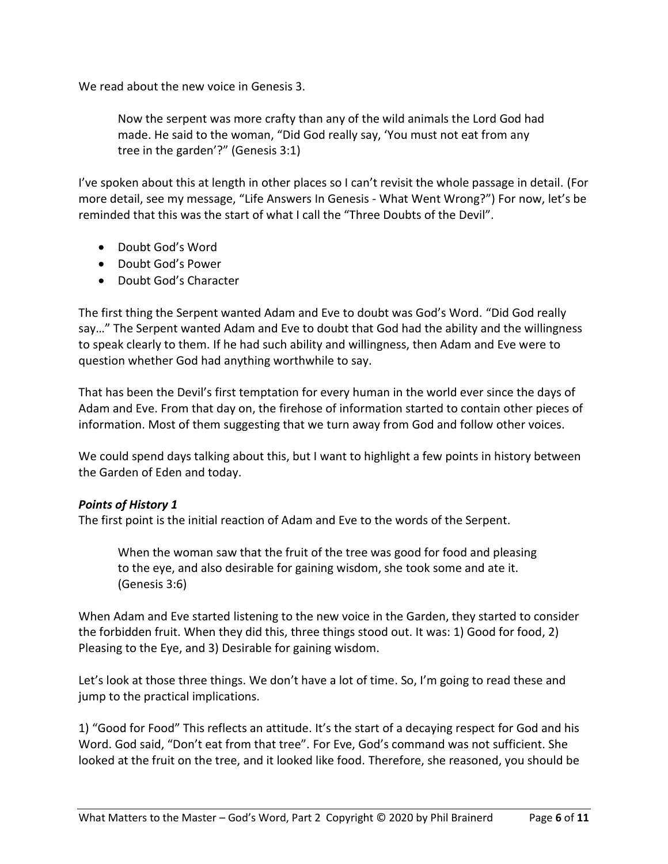We read about the new voice in Genesis 3.

Now the serpent was more crafty than any of the wild animals the Lord God had made. He said to the woman, "Did God really say, 'You must not eat from any tree in the garden'?" (Genesis 3:1)

I've spoken about this at length in other places so I can't revisit the whole passage in detail. (For more detail, see my message, "Life Answers In Genesis - What Went Wrong?") For now, let's be reminded that this was the start of what I call the "Three Doubts of the Devil".

- Doubt God's Word
- Doubt God's Power
- Doubt God's Character

The first thing the Serpent wanted Adam and Eve to doubt was God's Word. "Did God really say…" The Serpent wanted Adam and Eve to doubt that God had the ability and the willingness to speak clearly to them. If he had such ability and willingness, then Adam and Eve were to question whether God had anything worthwhile to say.

That has been the Devil's first temptation for every human in the world ever since the days of Adam and Eve. From that day on, the firehose of information started to contain other pieces of information. Most of them suggesting that we turn away from God and follow other voices.

We could spend days talking about this, but I want to highlight a few points in history between the Garden of Eden and today.

### *Points of History 1*

The first point is the initial reaction of Adam and Eve to the words of the Serpent.

When the woman saw that the fruit of the tree was good for food and pleasing to the eye, and also desirable for gaining wisdom, she took some and ate it. (Genesis 3:6)

When Adam and Eve started listening to the new voice in the Garden, they started to consider the forbidden fruit. When they did this, three things stood out. It was: 1) Good for food, 2) Pleasing to the Eye, and 3) Desirable for gaining wisdom.

Let's look at those three things. We don't have a lot of time. So, I'm going to read these and jump to the practical implications.

1) "Good for Food" This reflects an attitude. It's the start of a decaying respect for God and his Word. God said, "Don't eat from that tree". For Eve, God's command was not sufficient. She looked at the fruit on the tree, and it looked like food. Therefore, she reasoned, you should be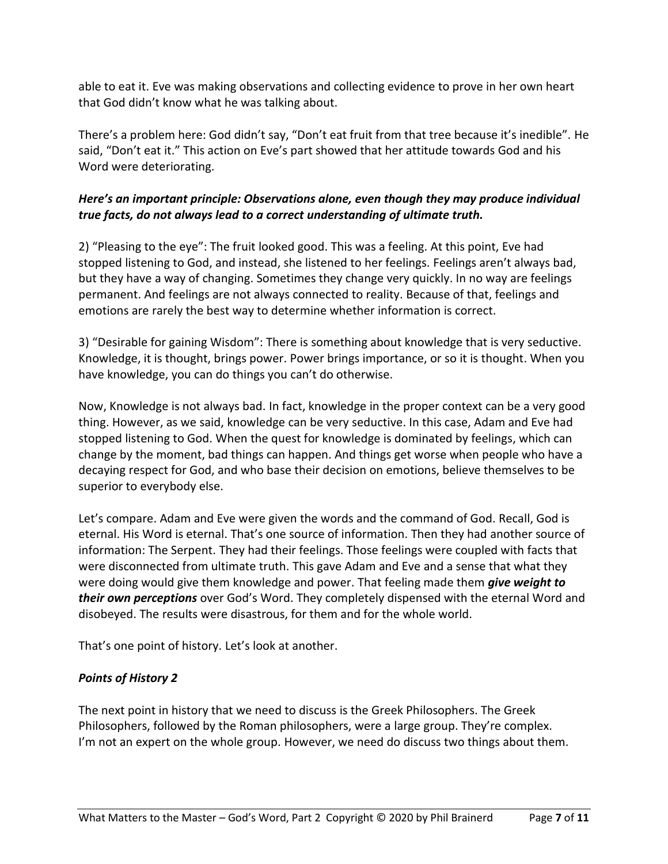able to eat it. Eve was making observations and collecting evidence to prove in her own heart that God didn't know what he was talking about.

There's a problem here: God didn't say, "Don't eat fruit from that tree because it's inedible". He said, "Don't eat it." This action on Eve's part showed that her attitude towards God and his Word were deteriorating.

# *Here's an important principle: Observations alone, even though they may produce individual true facts, do not always lead to a correct understanding of ultimate truth.*

2) "Pleasing to the eye": The fruit looked good. This was a feeling. At this point, Eve had stopped listening to God, and instead, she listened to her feelings. Feelings aren't always bad, but they have a way of changing. Sometimes they change very quickly. In no way are feelings permanent. And feelings are not always connected to reality. Because of that, feelings and emotions are rarely the best way to determine whether information is correct.

3) "Desirable for gaining Wisdom": There is something about knowledge that is very seductive. Knowledge, it is thought, brings power. Power brings importance, or so it is thought. When you have knowledge, you can do things you can't do otherwise.

Now, Knowledge is not always bad. In fact, knowledge in the proper context can be a very good thing. However, as we said, knowledge can be very seductive. In this case, Adam and Eve had stopped listening to God. When the quest for knowledge is dominated by feelings, which can change by the moment, bad things can happen. And things get worse when people who have a decaying respect for God, and who base their decision on emotions, believe themselves to be superior to everybody else.

Let's compare. Adam and Eve were given the words and the command of God. Recall, God is eternal. His Word is eternal. That's one source of information. Then they had another source of information: The Serpent. They had their feelings. Those feelings were coupled with facts that were disconnected from ultimate truth. This gave Adam and Eve and a sense that what they were doing would give them knowledge and power. That feeling made them *give weight to their own perceptions* over God's Word. They completely dispensed with the eternal Word and disobeyed. The results were disastrous, for them and for the whole world.

That's one point of history. Let's look at another.

# *Points of History 2*

The next point in history that we need to discuss is the Greek Philosophers. The Greek Philosophers, followed by the Roman philosophers, were a large group. They're complex. I'm not an expert on the whole group. However, we need do discuss two things about them.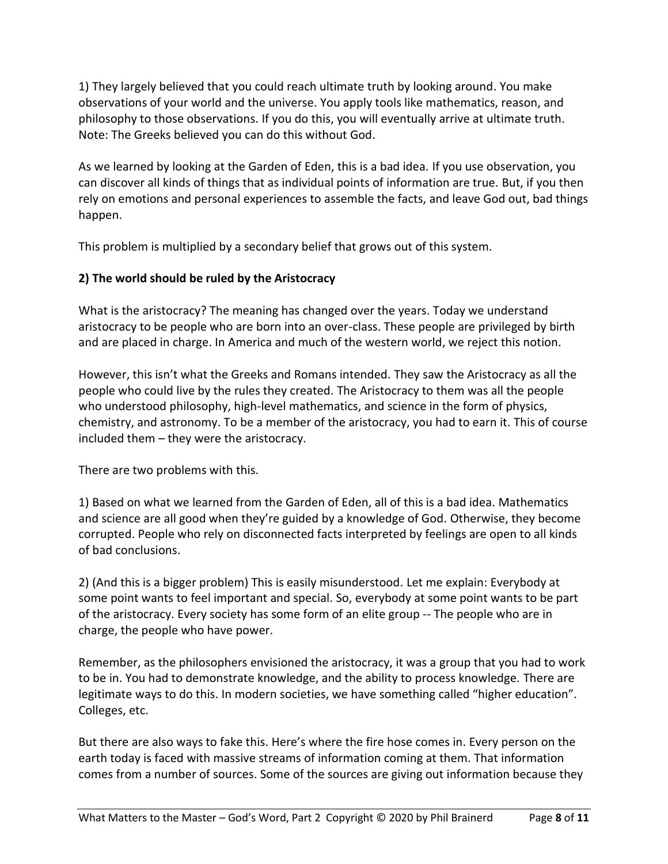1) They largely believed that you could reach ultimate truth by looking around. You make observations of your world and the universe. You apply tools like mathematics, reason, and philosophy to those observations. If you do this, you will eventually arrive at ultimate truth. Note: The Greeks believed you can do this without God.

As we learned by looking at the Garden of Eden, this is a bad idea. If you use observation, you can discover all kinds of things that as individual points of information are true. But, if you then rely on emotions and personal experiences to assemble the facts, and leave God out, bad things happen.

This problem is multiplied by a secondary belief that grows out of this system.

## **2) The world should be ruled by the Aristocracy**

What is the aristocracy? The meaning has changed over the years. Today we understand aristocracy to be people who are born into an over-class. These people are privileged by birth and are placed in charge. In America and much of the western world, we reject this notion.

However, this isn't what the Greeks and Romans intended. They saw the Aristocracy as all the people who could live by the rules they created. The Aristocracy to them was all the people who understood philosophy, high-level mathematics, and science in the form of physics, chemistry, and astronomy. To be a member of the aristocracy, you had to earn it. This of course included them – they were the aristocracy.

There are two problems with this.

1) Based on what we learned from the Garden of Eden, all of this is a bad idea. Mathematics and science are all good when they're guided by a knowledge of God. Otherwise, they become corrupted. People who rely on disconnected facts interpreted by feelings are open to all kinds of bad conclusions.

2) (And this is a bigger problem) This is easily misunderstood. Let me explain: Everybody at some point wants to feel important and special. So, everybody at some point wants to be part of the aristocracy. Every society has some form of an elite group -- The people who are in charge, the people who have power.

Remember, as the philosophers envisioned the aristocracy, it was a group that you had to work to be in. You had to demonstrate knowledge, and the ability to process knowledge. There are legitimate ways to do this. In modern societies, we have something called "higher education". Colleges, etc.

But there are also ways to fake this. Here's where the fire hose comes in. Every person on the earth today is faced with massive streams of information coming at them. That information comes from a number of sources. Some of the sources are giving out information because they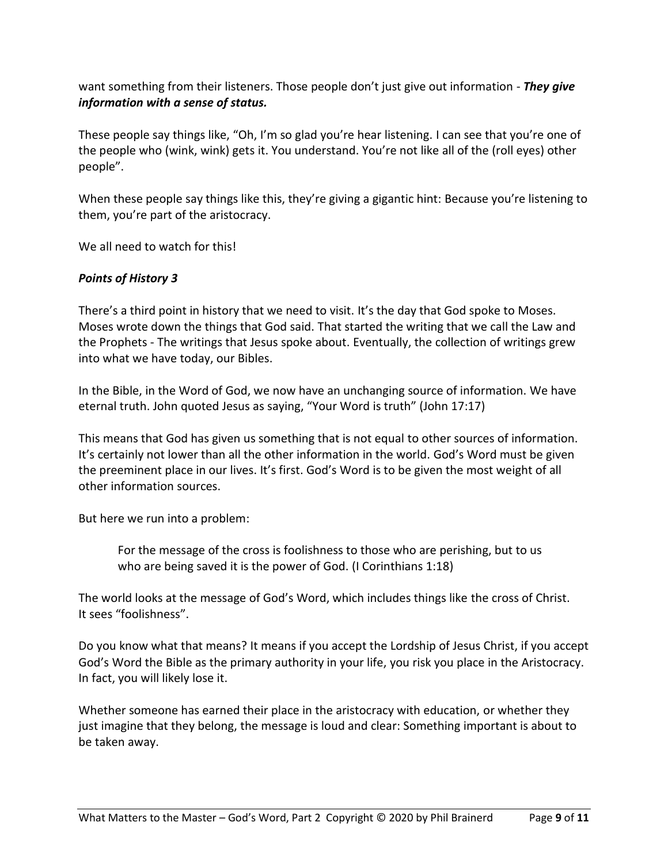want something from their listeners. Those people don't just give out information - *They give information with a sense of status.*

These people say things like, "Oh, I'm so glad you're hear listening. I can see that you're one of the people who (wink, wink) gets it. You understand. You're not like all of the (roll eyes) other people".

When these people say things like this, they're giving a gigantic hint: Because you're listening to them, you're part of the aristocracy.

We all need to watch for this!

## *Points of History 3*

There's a third point in history that we need to visit. It's the day that God spoke to Moses. Moses wrote down the things that God said. That started the writing that we call the Law and the Prophets - The writings that Jesus spoke about. Eventually, the collection of writings grew into what we have today, our Bibles.

In the Bible, in the Word of God, we now have an unchanging source of information. We have eternal truth. John quoted Jesus as saying, "Your Word is truth" (John 17:17)

This means that God has given us something that is not equal to other sources of information. It's certainly not lower than all the other information in the world. God's Word must be given the preeminent place in our lives. It's first. God's Word is to be given the most weight of all other information sources.

But here we run into a problem:

For the message of the cross is foolishness to those who are perishing, but to us who are being saved it is the power of God. (I Corinthians 1:18)

The world looks at the message of God's Word, which includes things like the cross of Christ. It sees "foolishness".

Do you know what that means? It means if you accept the Lordship of Jesus Christ, if you accept God's Word the Bible as the primary authority in your life, you risk you place in the Aristocracy. In fact, you will likely lose it.

Whether someone has earned their place in the aristocracy with education, or whether they just imagine that they belong, the message is loud and clear: Something important is about to be taken away.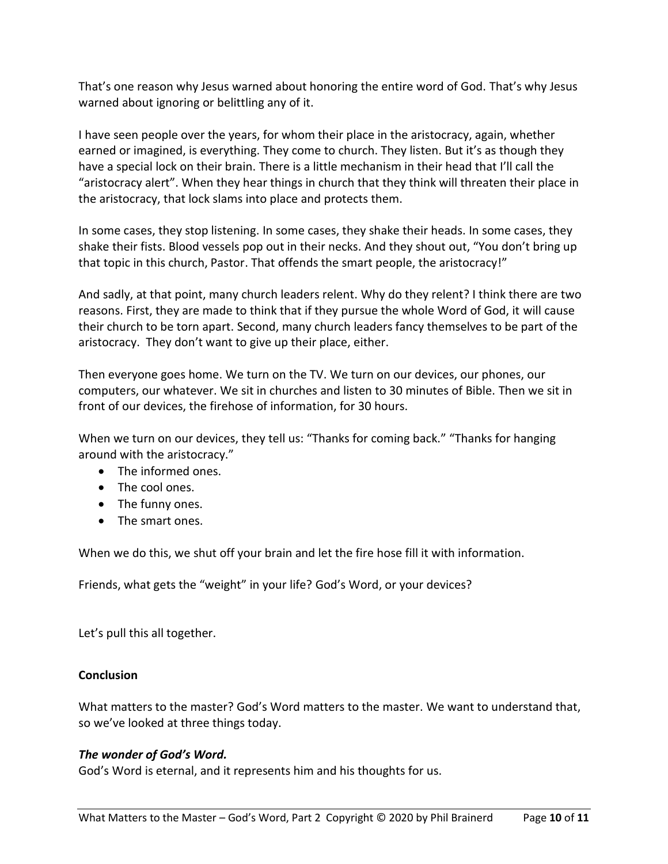That's one reason why Jesus warned about honoring the entire word of God. That's why Jesus warned about ignoring or belittling any of it.

I have seen people over the years, for whom their place in the aristocracy, again, whether earned or imagined, is everything. They come to church. They listen. But it's as though they have a special lock on their brain. There is a little mechanism in their head that I'll call the "aristocracy alert". When they hear things in church that they think will threaten their place in the aristocracy, that lock slams into place and protects them.

In some cases, they stop listening. In some cases, they shake their heads. In some cases, they shake their fists. Blood vessels pop out in their necks. And they shout out, "You don't bring up that topic in this church, Pastor. That offends the smart people, the aristocracy!"

And sadly, at that point, many church leaders relent. Why do they relent? I think there are two reasons. First, they are made to think that if they pursue the whole Word of God, it will cause their church to be torn apart. Second, many church leaders fancy themselves to be part of the aristocracy. They don't want to give up their place, either.

Then everyone goes home. We turn on the TV. We turn on our devices, our phones, our computers, our whatever. We sit in churches and listen to 30 minutes of Bible. Then we sit in front of our devices, the firehose of information, for 30 hours.

When we turn on our devices, they tell us: "Thanks for coming back." "Thanks for hanging around with the aristocracy."

- The informed ones.
- The cool ones.
- The funny ones.
- The smart ones.

When we do this, we shut off your brain and let the fire hose fill it with information.

Friends, what gets the "weight" in your life? God's Word, or your devices?

Let's pull this all together.

### **Conclusion**

What matters to the master? God's Word matters to the master. We want to understand that, so we've looked at three things today.

### *The wonder of God's Word.*

God's Word is eternal, and it represents him and his thoughts for us.